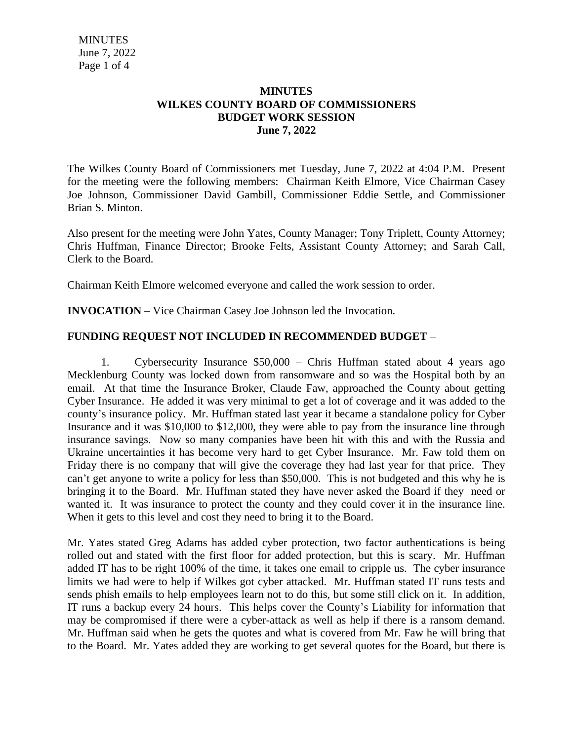## **MINUTES WILKES COUNTY BOARD OF COMMISSIONERS BUDGET WORK SESSION June 7, 2022**

The Wilkes County Board of Commissioners met Tuesday, June 7, 2022 at 4:04 P.M. Present for the meeting were the following members: Chairman Keith Elmore, Vice Chairman Casey Joe Johnson, Commissioner David Gambill, Commissioner Eddie Settle, and Commissioner Brian S. Minton.

Also present for the meeting were John Yates, County Manager; Tony Triplett, County Attorney; Chris Huffman, Finance Director; Brooke Felts, Assistant County Attorney; and Sarah Call, Clerk to the Board.

Chairman Keith Elmore welcomed everyone and called the work session to order.

**INVOCATION** – Vice Chairman Casey Joe Johnson led the Invocation.

## **FUNDING REQUEST NOT INCLUDED IN RECOMMENDED BUDGET** –

1. Cybersecurity Insurance \$50,000 – Chris Huffman stated about 4 years ago Mecklenburg County was locked down from ransomware and so was the Hospital both by an email. At that time the Insurance Broker, Claude Faw, approached the County about getting Cyber Insurance. He added it was very minimal to get a lot of coverage and it was added to the county's insurance policy. Mr. Huffman stated last year it became a standalone policy for Cyber Insurance and it was \$10,000 to \$12,000, they were able to pay from the insurance line through insurance savings. Now so many companies have been hit with this and with the Russia and Ukraine uncertainties it has become very hard to get Cyber Insurance. Mr. Faw told them on Friday there is no company that will give the coverage they had last year for that price. They can't get anyone to write a policy for less than \$50,000. This is not budgeted and this why he is bringing it to the Board. Mr. Huffman stated they have never asked the Board if they need or wanted it. It was insurance to protect the county and they could cover it in the insurance line. When it gets to this level and cost they need to bring it to the Board.

Mr. Yates stated Greg Adams has added cyber protection, two factor authentications is being rolled out and stated with the first floor for added protection, but this is scary. Mr. Huffman added IT has to be right 100% of the time, it takes one email to cripple us. The cyber insurance limits we had were to help if Wilkes got cyber attacked. Mr. Huffman stated IT runs tests and sends phish emails to help employees learn not to do this, but some still click on it. In addition, IT runs a backup every 24 hours. This helps cover the County's Liability for information that may be compromised if there were a cyber-attack as well as help if there is a ransom demand. Mr. Huffman said when he gets the quotes and what is covered from Mr. Faw he will bring that to the Board. Mr. Yates added they are working to get several quotes for the Board, but there is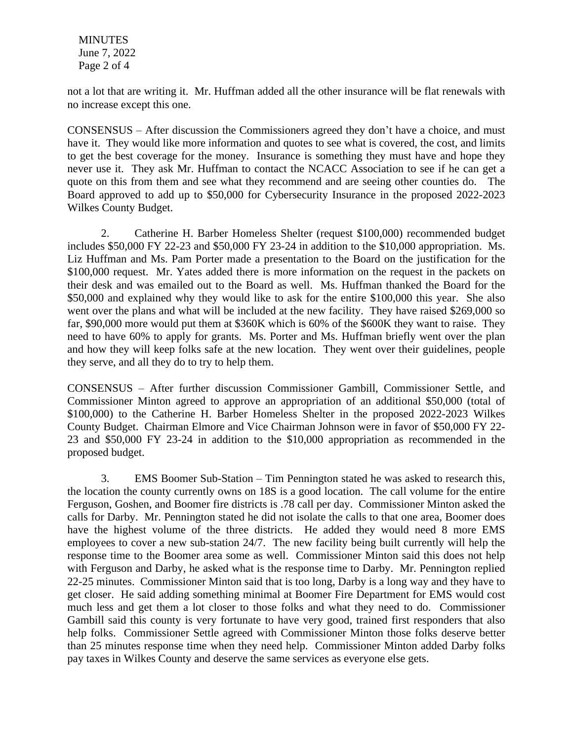MINUTES June 7, 2022 Page 2 of 4

not a lot that are writing it. Mr. Huffman added all the other insurance will be flat renewals with no increase except this one.

CONSENSUS – After discussion the Commissioners agreed they don't have a choice, and must have it. They would like more information and quotes to see what is covered, the cost, and limits to get the best coverage for the money. Insurance is something they must have and hope they never use it. They ask Mr. Huffman to contact the NCACC Association to see if he can get a quote on this from them and see what they recommend and are seeing other counties do. The Board approved to add up to \$50,000 for Cybersecurity Insurance in the proposed 2022-2023 Wilkes County Budget.

2. Catherine H. Barber Homeless Shelter (request \$100,000) recommended budget includes \$50,000 FY 22-23 and \$50,000 FY 23-24 in addition to the \$10,000 appropriation. Ms. Liz Huffman and Ms. Pam Porter made a presentation to the Board on the justification for the \$100,000 request. Mr. Yates added there is more information on the request in the packets on their desk and was emailed out to the Board as well. Ms. Huffman thanked the Board for the \$50,000 and explained why they would like to ask for the entire \$100,000 this year. She also went over the plans and what will be included at the new facility. They have raised \$269,000 so far, \$90,000 more would put them at \$360K which is 60% of the \$600K they want to raise. They need to have 60% to apply for grants. Ms. Porter and Ms. Huffman briefly went over the plan and how they will keep folks safe at the new location. They went over their guidelines, people they serve, and all they do to try to help them.

CONSENSUS – After further discussion Commissioner Gambill, Commissioner Settle, and Commissioner Minton agreed to approve an appropriation of an additional \$50,000 (total of \$100,000) to the Catherine H. Barber Homeless Shelter in the proposed 2022-2023 Wilkes County Budget. Chairman Elmore and Vice Chairman Johnson were in favor of \$50,000 FY 22- 23 and \$50,000 FY 23-24 in addition to the \$10,000 appropriation as recommended in the proposed budget.

3. EMS Boomer Sub-Station – Tim Pennington stated he was asked to research this, the location the county currently owns on 18S is a good location. The call volume for the entire Ferguson, Goshen, and Boomer fire districts is .78 call per day. Commissioner Minton asked the calls for Darby. Mr. Pennington stated he did not isolate the calls to that one area, Boomer does have the highest volume of the three districts. He added they would need 8 more EMS employees to cover a new sub-station 24/7. The new facility being built currently will help the response time to the Boomer area some as well. Commissioner Minton said this does not help with Ferguson and Darby, he asked what is the response time to Darby. Mr. Pennington replied 22-25 minutes. Commissioner Minton said that is too long, Darby is a long way and they have to get closer. He said adding something minimal at Boomer Fire Department for EMS would cost much less and get them a lot closer to those folks and what they need to do. Commissioner Gambill said this county is very fortunate to have very good, trained first responders that also help folks. Commissioner Settle agreed with Commissioner Minton those folks deserve better than 25 minutes response time when they need help. Commissioner Minton added Darby folks pay taxes in Wilkes County and deserve the same services as everyone else gets.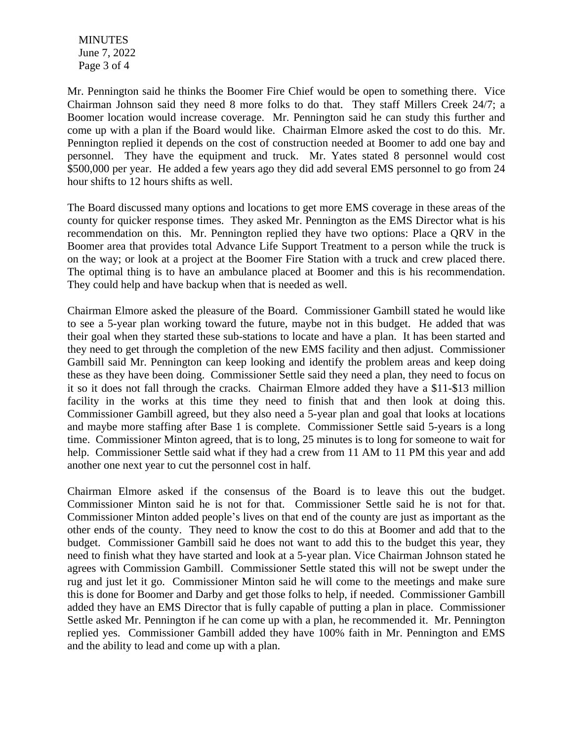MINUTES June 7, 2022 Page 3 of 4

Mr. Pennington said he thinks the Boomer Fire Chief would be open to something there. Vice Chairman Johnson said they need 8 more folks to do that. They staff Millers Creek 24/7; a Boomer location would increase coverage. Mr. Pennington said he can study this further and come up with a plan if the Board would like. Chairman Elmore asked the cost to do this. Mr. Pennington replied it depends on the cost of construction needed at Boomer to add one bay and personnel. They have the equipment and truck. Mr. Yates stated 8 personnel would cost \$500,000 per year. He added a few years ago they did add several EMS personnel to go from 24 hour shifts to 12 hours shifts as well.

The Board discussed many options and locations to get more EMS coverage in these areas of the county for quicker response times. They asked Mr. Pennington as the EMS Director what is his recommendation on this. Mr. Pennington replied they have two options: Place a QRV in the Boomer area that provides total Advance Life Support Treatment to a person while the truck is on the way; or look at a project at the Boomer Fire Station with a truck and crew placed there. The optimal thing is to have an ambulance placed at Boomer and this is his recommendation. They could help and have backup when that is needed as well.

Chairman Elmore asked the pleasure of the Board. Commissioner Gambill stated he would like to see a 5-year plan working toward the future, maybe not in this budget. He added that was their goal when they started these sub-stations to locate and have a plan. It has been started and they need to get through the completion of the new EMS facility and then adjust. Commissioner Gambill said Mr. Pennington can keep looking and identify the problem areas and keep doing these as they have been doing. Commissioner Settle said they need a plan, they need to focus on it so it does not fall through the cracks. Chairman Elmore added they have a \$11-\$13 million facility in the works at this time they need to finish that and then look at doing this. Commissioner Gambill agreed, but they also need a 5-year plan and goal that looks at locations and maybe more staffing after Base 1 is complete. Commissioner Settle said 5-years is a long time. Commissioner Minton agreed, that is to long, 25 minutes is to long for someone to wait for help. Commissioner Settle said what if they had a crew from 11 AM to 11 PM this year and add another one next year to cut the personnel cost in half.

Chairman Elmore asked if the consensus of the Board is to leave this out the budget. Commissioner Minton said he is not for that. Commissioner Settle said he is not for that. Commissioner Minton added people's lives on that end of the county are just as important as the other ends of the county. They need to know the cost to do this at Boomer and add that to the budget. Commissioner Gambill said he does not want to add this to the budget this year, they need to finish what they have started and look at a 5-year plan. Vice Chairman Johnson stated he agrees with Commission Gambill. Commissioner Settle stated this will not be swept under the rug and just let it go. Commissioner Minton said he will come to the meetings and make sure this is done for Boomer and Darby and get those folks to help, if needed. Commissioner Gambill added they have an EMS Director that is fully capable of putting a plan in place. Commissioner Settle asked Mr. Pennington if he can come up with a plan, he recommended it. Mr. Pennington replied yes. Commissioner Gambill added they have 100% faith in Mr. Pennington and EMS and the ability to lead and come up with a plan.